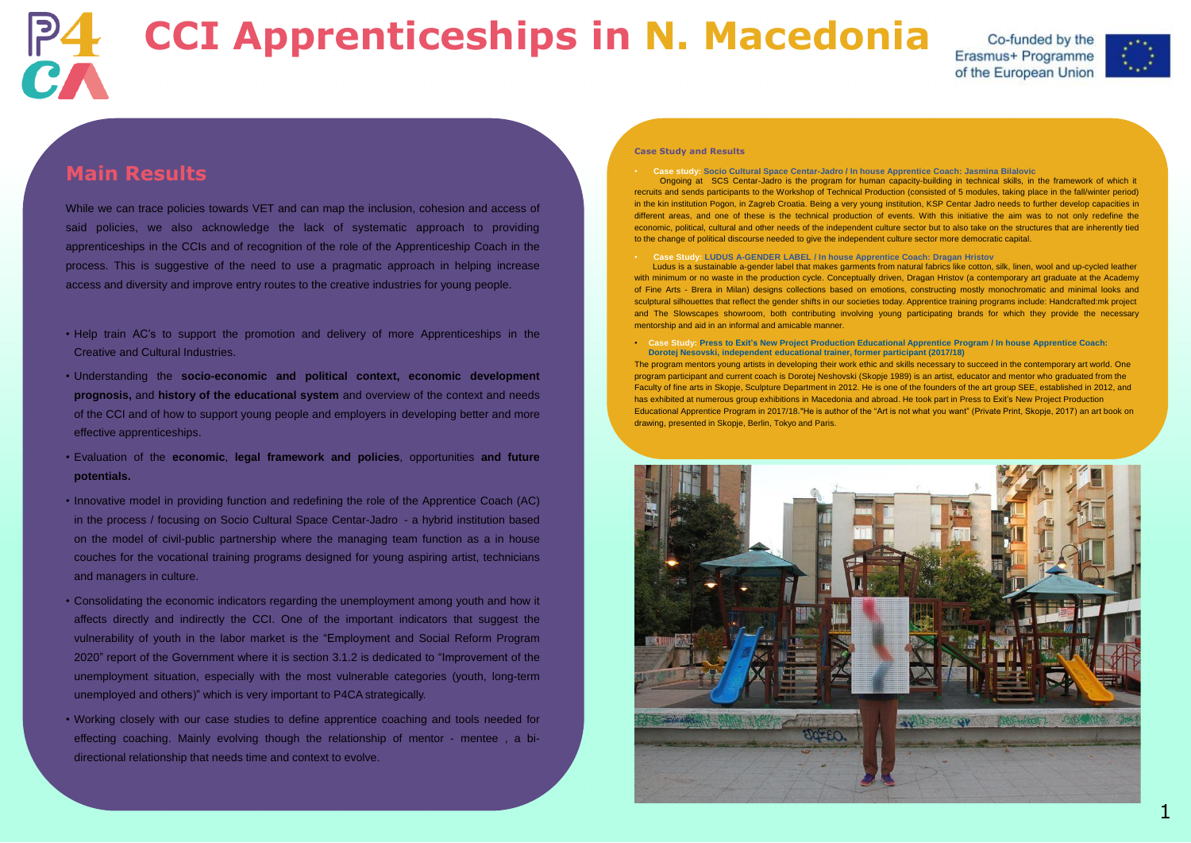# **Main Results**

While we can trace policies towards VET and can map the inclusion, cohesion and access of said policies, we also acknowledge the lack of systematic approach to providing apprenticeships in the CCIs and of recognition of the role of the Apprenticeship Coach in the process. This is suggestive of the need to use a pragmatic approach in helping increase access and diversity and improve entry routes to the creative industries for young people.

- Help train AC's to support the promotion and delivery of more Apprenticeships in the Creative and Cultural Industries.
- Understanding the **socio-economic and political context, economic development prognosis,** and **history of the educational system** and overview of the context and needs of the CCI and of how to support young people and employers in developing better and more effective apprenticeships.
- Evaluation of the **economic**, **legal framework and policies**, opportunities **and future potentials.**
- Innovative model in providing function and redefining the role of the Apprentice Coach (AC) in the process / focusing on Socio Cultural Space Centar-Jadro - a hybrid institution based on the model of civil-public partnership where the managing team function as a in house couches for the vocational training programs designed for young aspiring artist, technicians and managers in culture.
- Consolidating the economic indicators regarding the unemployment among youth and how it affects directly and indirectly the CCI. One of the important indicators that suggest the vulnerability of youth in the labor market is the "Employment and Social Reform Program 2020" report of the Government where it is section 3.1.2 is dedicated to "Improvement of the unemployment situation, especially with the most vulnerable categories (youth, long-term unemployed and others)" which is very important to P4CA strategically.
- Working closely with our case studies to define apprentice coaching and tools needed for effecting coaching. Mainly evolving though the relationship of mentor - mentee , a bidirectional relationship that needs time and context to evolve.



# **CCI Apprenticeships in N. Macedonia**

### **Case Study and Results**



• **Case study: Socio Cultural Space Centar-Jadro / In house Apprentice Coach: Jasmina Bilalovic** Ongoing at SCS Centar-Jadro is the program for human capacity-building in technical skills, in the framework of which it recruits and sends participants to the Workshop of Technical Production (consisted of 5 modules, taking place in the fall/winter period) in the kin institution Pogon, in Zagreb Croatia. Being a very young institution, KSP Centar Jadro needs to further develop capacities in different areas, and one of these is the technical production of events. With this initiative the aim was to not only redefine the economic, political, cultural and other needs of the independent culture sector but to also take on the structures that are inherently tied to the change of political discourse needed to give the independent culture sector more democratic capital.

• **Case Study: LUDUS A-GENDER LABEL / In house Apprentice Coach: Dragan Hristov** Ludus is a sustainable a-gender label that makes garments from natural fabrics like cotton, silk, linen, wool and up-cycled leather with minimum or no waste in the production cycle. Conceptually driven, Dragan Hristov (a contemporary art graduate at the Academy of Fine Arts - Brera in Milan) designs collections based on emotions, constructing mostly monochromatic and minimal looks and sculptural silhouettes that reflect the gender shifts in our societies today. Apprentice training programs include: Handcrafted:mk project and The Slowscapes showroom, both contributing involving young participating brands for which they provide the necessary mentorship and aid in an informal and amicable manner.

• **Case Study: Press to Exit's New Project Production Educational Apprentice Program / In house Apprentice Coach: Dorotej Nesovski, independent educational trainer, former participant (2017/18)** The program mentors young artists in developing their work ethic and skills necessary to succeed in the contemporary art world. One program participant and current coach is Dorotej Neshovski (Skopje 1989) is an artist, educator and mentor who graduated from the Faculty of fine arts in Skopje, Sculpture Department in 2012. He is one of the founders of the art group SEE, established in 2012, and has exhibited at numerous group exhibitions in Macedonia and abroad. He took part in Press to Exit's New Project Production Educational Apprentice Program in 2017/18**.**"He is author of the "Art is not what you want" (Private Print, Skopje, 2017) an art book on drawing, presented in Skopje, Berlin, Tokyo and Paris.

Co-funded by the Erasmus+ Programme of the European Union